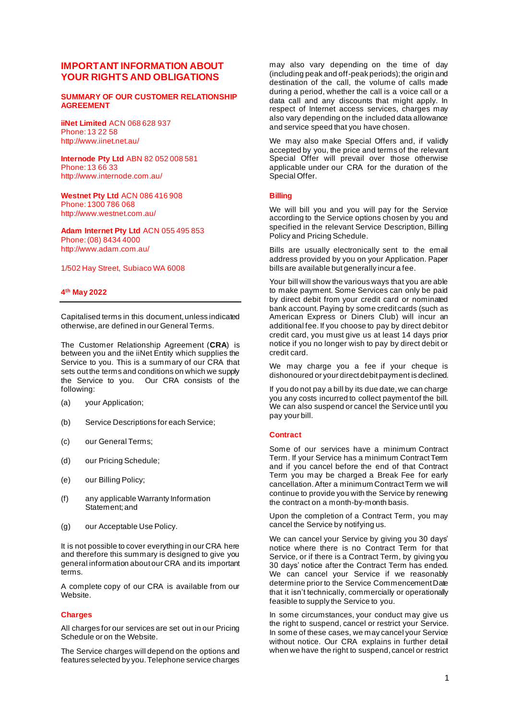# **IMPORTANT INFORMATION ABOUT YOUR RIGHTS AND OBLIGATIONS**

#### **SUMMARY OF OUR CUSTOMER RELATIONSHIP AGREEMENT**

**iiNet Limited** ACN 068 628 937 Phone: 13 22 58 http://www.iinet.net.au/

**Internode Pty Ltd** ABN 82 052 008 581 Phone: 13 66 33 http://www.internode.com.au/

**Westnet Pty Ltd** ACN 086 416 908 Phone: 1300 786 068 http://www.westnet.com.au/

**Adam Internet Pty Ltd** ACN 055 495 853 Phone: (08) 8434 4000 http://www.adam.com.au/

### 1/502 Hay Street, Subiaco WA 6008

#### **4 th May 2022**

Capitalised terms in this document, unless indicated otherwise, are defined in our General Terms.

The Customer Relationship Agreement (**CRA**) is between you and the iiNet Entity which supplies the Service to you. This is a summary of our CRA that sets out the terms and conditions on which we supply the Service to you. Our CRA consists of the following:

- (a) your Application;
- (b) Service Descriptions for each Service;
- (c) our General Terms;
- (d) our Pricing Schedule;
- (e) our Billing Policy;
- (f) any applicable Warranty Information Statement; and
- (g) our Acceptable Use Policy.

It is not possible to cover everything in our CRA here and therefore this summary is designed to give you general information about our CRA and its important terms.

A complete copy of our CRA is available from our Website.

#### **Charges**

All charges for our services are set out in our Pricing Schedule or on the Website.

The Service charges will depend on the options and features selected by you. Telephone service charges

may also vary depending on the time of day (including peak and off-peak periods); the origin and destination of the call, the volume of calls made during a period, whether the call is a voice call or a data call and any discounts that might apply. In respect of Internet access services, charges may also vary depending on the included data allowance and service speed that you have chosen.

We may also make Special Offers and, if validly accepted by you, the price and terms of the relevant Special Offer will prevail over those otherwise applicable under our CRA for the duration of the Special Offer.

#### **Billing**

We will bill you and you will pay for the Service according to the Service options chosen by you and specified in the relevant Service Description, Billing Policy and Pricing Schedule.

Bills are usually electronically sent to the email address provided by you on your Application. Paper bills are available but generally incur a fee.

Your bill will show the various ways that you are able to make payment. Some Services can only be paid by direct debit from your credit card or nominated bank account.Paying by some credit cards (such as American Express or Diners Club) will incur an additional fee. If you choose to pay by direct debit or credit card, you must give us at least 14 days prior notice if you no longer wish to pay by direct debit or credit card.

We may charge you a fee if your cheque is dishonoured or your direct debit payment is declined.

If you do not pay a bill by its due date, we can charge you any costs incurred to collect payment of the bill. We can also suspend or cancel the Service until you pay your bill.

#### **Contract**

Some of our services have a minimum Contract Term. If your Service has a minimum Contract Term and if you cancel before the end of that Contract Term you may be charged a Break Fee for early cancellation. After a minimum Contract Term we will continue to provide you with the Service by renewing the contract on a month-by-month basis.

Upon the completion of a Contract Term, you may cancel the Service by notifying us.

We can cancel your Service by giving you 30 days' notice where there is no Contract Term for that Service, or if there is a Contract Term, by giving you 30 days' notice after the Contract Term has ended. We can cancel your Service if we reasonably determine prior to the Service Commencement Date that it isn't technically, commercially or operationally feasible to supply the Service to you.

In some circumstances, your conduct may give us the right to suspend, cancel or restrict your Service. In some of these cases, we may cancel your Service without notice. Our CRA explains in further detail when we have the right to suspend, cancel or restrict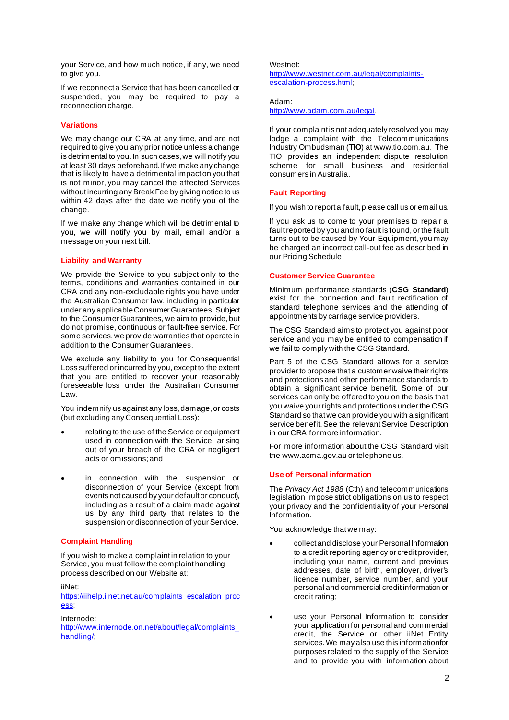your Service, and how much notice, if any, we need to give you.

If we reconnect a Service that has been cancelled or suspended, you may be required to pay a reconnection charge.

# **Variations**

We may change our CRA at any time, and are not required to give you any prior notice unless a change is detrimental to you. In such cases, we will notify you at least 30 days beforehand. If we make any change that is likely to have a detrimental impact on you that is not minor, you may cancel the affected Services without incurring any Break Fee by giving notice to us within 42 days after the date we notify you of the change.

If we make any change which will be detrimental to you, we will notify you by mail, email and/or a message on your next bill.

### **Liability and Warranty**

We provide the Service to you subject only to the terms, conditions and warranties contained in our CRA and any non-excludable rights you have under the Australian Consumer law, including in particular under any applicable Consumer Guarantees. Subject to the Consumer Guarantees, we aim to provide, but do not promise, continuous or fault-free service. For some services, we provide warranties that operate in addition to the Consumer Guarantees.

We exclude any liability to you for Consequential Loss suffered or incurred by you, except to the extent that you are entitled to recover your reasonably foreseeable loss under the Australian Consumer Law.

You indemnify us against any loss, damage, or costs (but excluding any Consequential Loss):

- relating to the use of the Service or equipment used in connection with the Service, arising out of your breach of the CRA or negligent acts or omissions; and
- in connection with the suspension or disconnection of your Service (except from events not caused by your default or conduct), including as a result of a claim made against us by any third party that relates to the suspension or disconnection of your Service.

# **Complaint Handling**

If you wish to make a complaint in relation to your Service, you must follow the complaint handling process described on our Website at:

iiNet:

[https://iihelp.iinet.net.au/complaints\\_escalation\\_proc](https://iihelp.iinet.net.au/complaints_escalation_process) [ess;](https://iihelp.iinet.net.au/complaints_escalation_process)

Internode: [http://www.internode.on.net/about/legal/complaints\\_](http://www.internode.on.net/about/legal/complaints_handling/) [handling/;](http://www.internode.on.net/about/legal/complaints_handling/)

Westnet:

[http://www.westnet.com.au/legal/complaints](http://www.westnet.com.au/legal/complaints-escalation-process.html)[escalation-process.html](http://www.westnet.com.au/legal/complaints-escalation-process.html);

Adam: <http://www.adam.com.au/legal>.

If your complaint is not adequately resolved you may lodge a complaint with the Telecommunications Industry Ombudsman (**TIO**) at www.tio.com.au. The TIO provides an independent dispute resolution scheme for small business and residential consumers in Australia.

### **Fault Reporting**

If you wish to report a fault, please call us or email us.

If you ask us to come to your premises to repair a fault reported by you and no fault is found, or the fault turns out to be caused by Your Equipment, you may be charged an incorrect call-out fee as described in our Pricing Schedule.

# **Customer Service Guarantee**

Minimum performance standards (**CSG Standard**) exist for the connection and fault rectification of standard telephone services and the attending of appointments by carriage service providers.

The CSG Standard aims to protect you against poor service and you may be entitled to compensation if we fail to comply with the CSG Standard.

Part 5 of the CSG Standard allows for a service provider to propose that a customer waive their rights and protections and other performance standards to obtain a significant service benefit. Some of our services can only be offered to you on the basis that you waive your rights and protections under the CSG Standard so that we can provide you with a significant service benefit. See the relevant Service Description in our CRA for more information.

For more information about the CSG Standard visit the www.acma.gov.au or telephone us.

# **Use of Personal information**

The *Privacy Act 1988* (Cth) and telecommunications legislation impose strict obligations on us to respect your privacy and the confidentiality of your Personal Information.

You acknowledge that we may:

- collect and disclose your Personal Information to a credit reporting agency or credit provider, including your name, current and previous addresses, date of birth, employer, driver's licence number, service number, and your personal and commercial credit information or credit rating;
- use your Personal Information to consider your application for personal and commercial credit, the Service or other iiNet Entity services. We may also use this information for purposes related to the supply of the Service and to provide you with information about